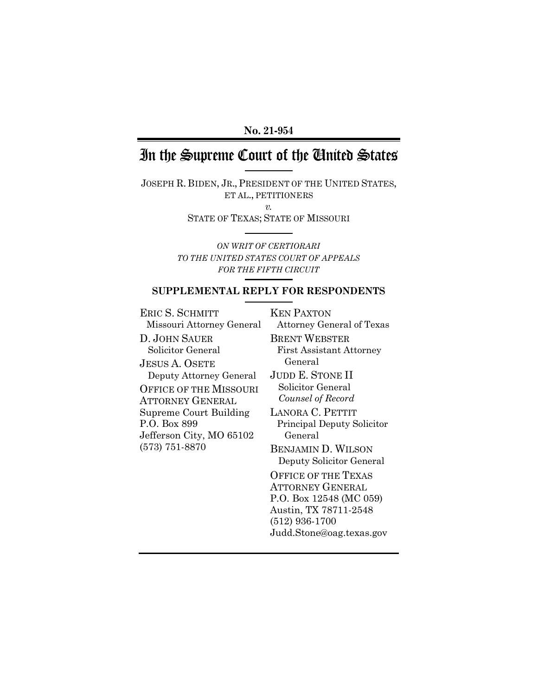#### **No. 21-954**

# In the Supreme Court of the United States

JOSEPH R. BIDEN, JR., PRESIDENT OF THE UNITED STATES, ET AL., PETITIONERS *v.*

STATE OF TEXAS; STATE OF MISSOURI

*ON WRIT OF CERTIORARI TO THE UNITED STATES COURT OF APPEALS FOR THE FIFTH CIRCUIT*

#### **SUPPLEMENTAL REPLY FOR RESPONDENTS**

ERIC S. SCHMITT Missouri Attorney General D. JOHN SAUER Solicitor General JESUS A. OSETE Deputy Attorney General OFFICE OF THE MISSOURI ATTORNEY GENERAL Supreme Court Building P.O. Box 899 Jefferson City, MO 65102 (573) 751-8870

KEN PAXTON Attorney General of Texas BRENT WEBSTER First Assistant Attorney General JUDD E. STONE II

Solicitor General *Counsel of Record*

LANORA C. PETTIT Principal Deputy Solicitor General

BENJAMIN D. WILSON Deputy Solicitor General

OFFICE OF THE TEXAS ATTORNEY GENERAL P.O. Box 12548 (MC 059) Austin, TX 78711-2548 (512) 936-1700 Judd.Stone@oag.texas.gov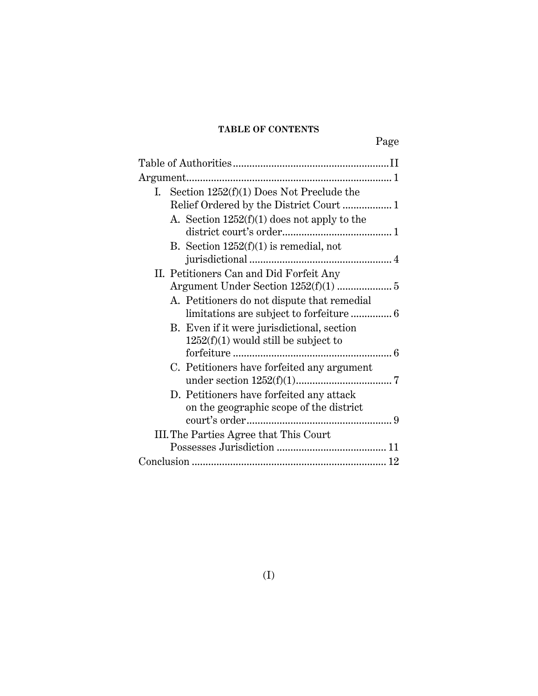# **TABLE OF CONTENTS**

| I. Section $1252(f)(1)$ Does Not Preclude the |
|-----------------------------------------------|
|                                               |
| A. Section $1252(f)(1)$ does not apply to the |
|                                               |
| B. Section $1252(f)(1)$ is remedial, not      |
|                                               |
| II. Petitioners Can and Did Forfeit Any       |
|                                               |
| A. Petitioners do not dispute that remedial   |
|                                               |
| B. Even if it were jurisdictional, section    |
| $1252(f)(1)$ would still be subject to        |
|                                               |
| C. Petitioners have forfeited any argument    |
|                                               |
| D. Petitioners have forfeited any attack      |
| on the geographic scope of the district       |
|                                               |
| III. The Parties Agree that This Court        |
|                                               |
|                                               |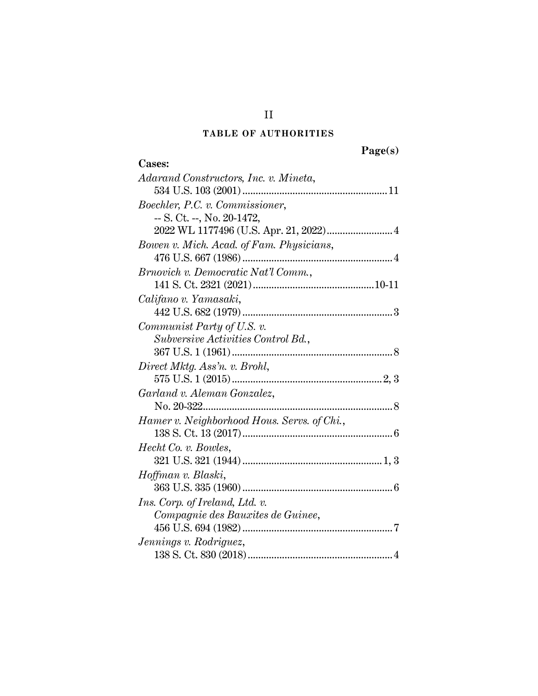# **TABLE OF AUTHORITIES**

<span id="page-2-0"></span>**Cases:**

| Adarand Constructors, Inc. v. Mineta,                |
|------------------------------------------------------|
|                                                      |
| Boechler, P.C. v. Commissioner,                      |
| -- S. Ct. --, No. 20-1472,                           |
| 2022 WL 1177496 (U.S. Apr. 21, 2022) 4               |
| Bowen v. Mich. Acad. of Fam. Physicians,             |
|                                                      |
| Brnovich v. Democratic Nat'l Comm.,                  |
|                                                      |
| Califano v. Yamasaki,                                |
|                                                      |
| Communist Party of U.S. v.                           |
| Subversive Activities Control Bd.,                   |
|                                                      |
| Direct Mktg. Ass'n. v. Brohl,                        |
|                                                      |
| Garland v. Aleman Gonzalez,                          |
|                                                      |
| Hamer v. Neighborhood Hous. Servs. of Chi.,          |
|                                                      |
| Hecht Co. v. Bowles,                                 |
|                                                      |
| Hoffman v. Blaski,                                   |
|                                                      |
| <i>Ins.</i> Corp. of <i>Ireland</i> , <i>Ltd.</i> v. |
| Compagnie des Bauxites de Guinee,                    |
|                                                      |
| Jennings v. Rodriguez,                               |
|                                                      |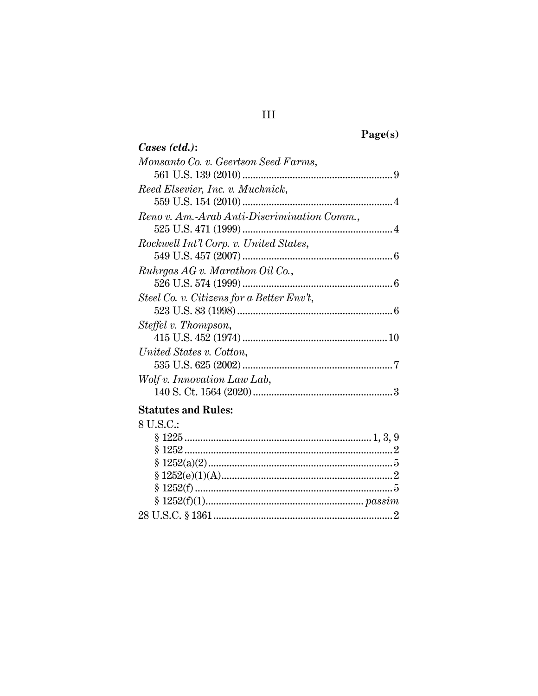| т<br>٠<br>c.<br>Ξ |
|-------------------|
|-------------------|

# **Statutes and Rules:**

| $8$ U.S.C.: |  |
|-------------|--|
|             |  |
|             |  |
|             |  |
|             |  |
|             |  |
|             |  |
|             |  |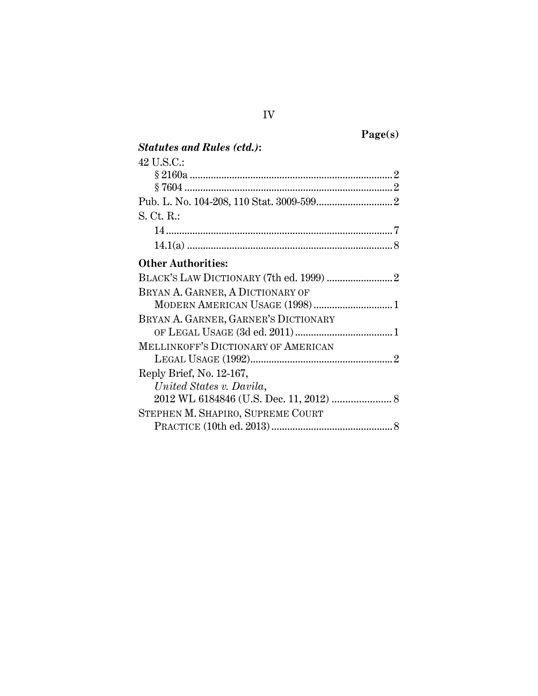**Page(s)**

| <b>Statutes and Rules (ctd.):</b>          |  |
|--------------------------------------------|--|
| 42 U.S.C.:                                 |  |
|                                            |  |
|                                            |  |
|                                            |  |
| S. Ct. R.:                                 |  |
|                                            |  |
|                                            |  |
| <b>Other Authorities:</b>                  |  |
|                                            |  |
| BRYAN A. GARNER, A DICTIONARY OF           |  |
| MODERN AMERICAN USAGE (1998)1              |  |
| BRYAN A. GARNER, GARNER'S DICTIONARY       |  |
|                                            |  |
| <b>MELLINKOFF'S DICTIONARY OF AMERICAN</b> |  |
|                                            |  |
| Reply Brief, No. 12-167,                   |  |
| United States v. Davila,                   |  |
|                                            |  |
| STEPHEN M. SHAPIRO, SUPREME COURT          |  |
|                                            |  |

IV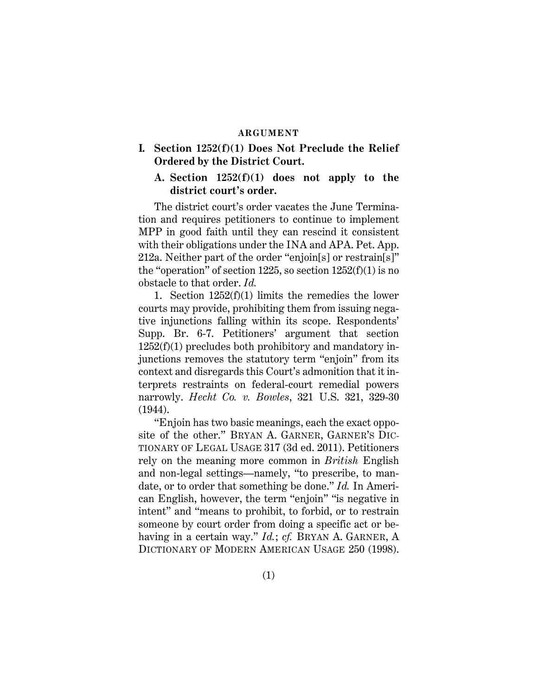#### **ARGUMENT**

# <span id="page-5-1"></span><span id="page-5-0"></span>**I. Section 1252(f)(1) Does Not Preclude the Relief Ordered by the District Court.**

## <span id="page-5-2"></span>**A. Section 1252(f)(1) does not apply to the district court's order.**

The district court's order vacates the June Termination and requires petitioners to continue to implement MPP in good faith until they can rescind it consistent with their obligations under the INA and APA. Pet. App. 212a. Neither part of the order "enjoin[s] or restrain[s]" the "operation" of section 1225, so section  $1252(f)(1)$  is no obstacle to that order. *Id.*

<span id="page-5-4"></span>1. Section 1252(f)(1) limits the remedies the lower courts may provide, prohibiting them from issuing negative injunctions falling within its scope. Respondents' Supp. Br. 6-7. Petitioners' argument that section  $1252(f)(1)$  precludes both prohibitory and mandatory injunctions removes the statutory term "enjoin" from its context and disregards this Court's admonition that it interprets restraints on federal-court remedial powers narrowly. *Hecht Co. v. Bowles*, 321 U.S. 321, 329-30 (1944).

<span id="page-5-6"></span><span id="page-5-5"></span><span id="page-5-3"></span>"Enjoin has two basic meanings, each the exact opposite of the other." BRYAN A. GARNER, GARNER'S DIC-TIONARY OF LEGAL USAGE 317 (3d ed. 2011). Petitioners rely on the meaning more common in *British* English and non-legal settings—namely, "to prescribe, to mandate, or to order that something be done." *Id.* In American English, however, the term "enjoin" "is negative in intent" and "means to prohibit, to forbid, or to restrain someone by court order from doing a specific act or behaving in a certain way." *Id.*; *cf.* BRYAN A. GARNER, A DICTIONARY OF MODERN AMERICAN USAGE 250 (1998).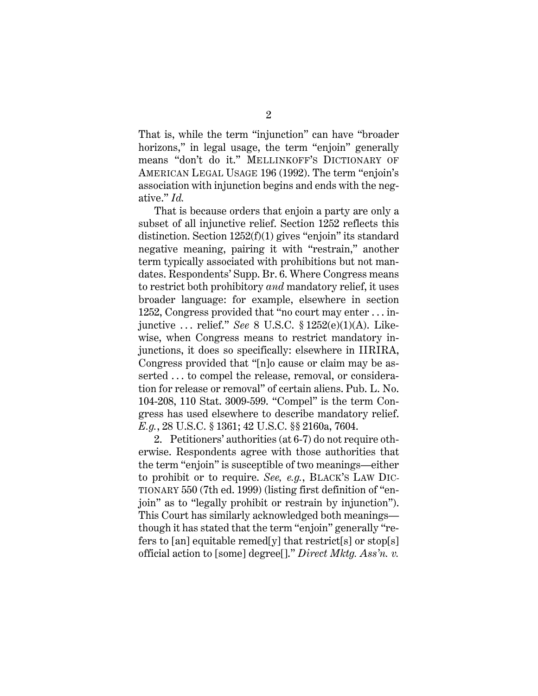<span id="page-6-7"></span>That is, while the term "injunction" can have "broader horizons," in legal usage, the term "enjoin" generally means "don't do it." MELLINKOFF'S DICTIONARY OF AMERICAN LEGAL USAGE 196 (1992). The term "enjoin's association with injunction begins and ends with the negative." *Id.*

<span id="page-6-2"></span><span id="page-6-1"></span>That is because orders that enjoin a party are only a subset of all injunctive relief. Section 1252 reflects this distinction. Section 1252(f)(1) gives "enjoin" its standard negative meaning, pairing it with "restrain," another term typically associated with prohibitions but not mandates. Respondents' Supp. Br. 6. Where Congress means to restrict both prohibitory *and* mandatory relief, it uses broader language: for example, elsewhere in section 1252, Congress provided that "no court may enter . . . injunctive . . . relief." *See* 8 U.S.C. § 1252(e)(1)(A). Likewise, when Congress means to restrict mandatory injunctions, it does so specifically: elsewhere in IIRIRA, Congress provided that "[n]o cause or claim may be asserted ... to compel the release, removal, or consideration for release or removal" of certain aliens. Pub. L. No. 104-208, 110 Stat. 3009-599. "Compel" is the term Congress has used elsewhere to describe mandatory relief. *E.g.*, 28 U.S.C. § 1361; 42 U.S.C. §§ 2160a, 7604.

<span id="page-6-6"></span><span id="page-6-5"></span><span id="page-6-4"></span><span id="page-6-3"></span><span id="page-6-0"></span>2. Petitioners' authorities (at 6-7) do not require otherwise. Respondents agree with those authorities that the term "enjoin" is susceptible of two meanings—either to prohibit or to require. *See, e.g.*, BLACK'S LAW DIC-TIONARY 550 (7th ed. 1999) (listing first definition of "enjoin" as to "legally prohibit or restrain by injunction"). This Court has similarly acknowledged both meanings though it has stated that the term "enjoin" generally "refers to [an] equitable remed[y] that restrict[s] or stop[s] official action to [some] degree[]." *Direct Mktg. Ass'n. v.*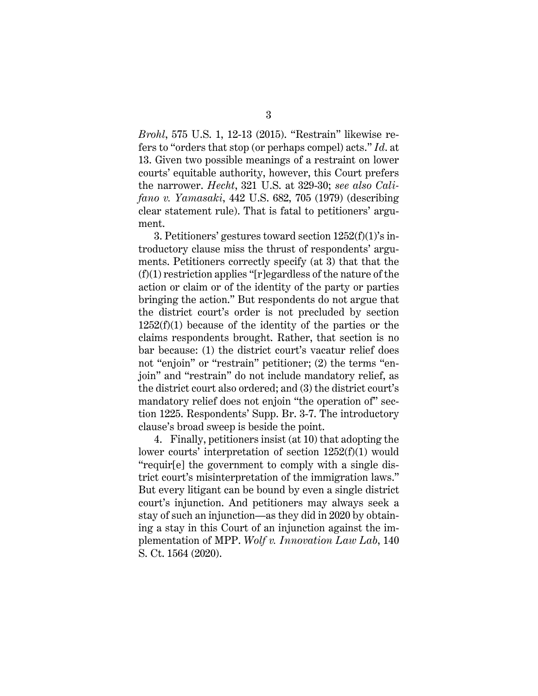<span id="page-7-2"></span><span id="page-7-1"></span>*Brohl*, 575 U.S. 1, 12-13 (2015). "Restrain" likewise refers to "orders that stop (or perhaps compel) acts." *Id*. at 13. Given two possible meanings of a restraint on lower courts' equitable authority, however, this Court prefers the narrower. *Hecht*, 321 U.S. at 329-30; *see also Califano v. Yamasaki*, 442 U.S. 682, 705 (1979) (describing clear statement rule). That is fatal to petitioners' argument.

<span id="page-7-0"></span>3. Petitioners' gestures toward section 1252(f)(1)'s introductory clause miss the thrust of respondents' arguments. Petitioners correctly specify (at 3) that that the  $(f)(1)$  restriction applies "[r]egardless of the nature of the action or claim or of the identity of the party or parties bringing the action." But respondents do not argue that the district court's order is not precluded by section  $1252(f)(1)$  because of the identity of the parties or the claims respondents brought. Rather, that section is no bar because: (1) the district court's vacatur relief does not "enjoin" or "restrain" petitioner; (2) the terms "enjoin" and "restrain" do not include mandatory relief, as the district court also ordered; and (3) the district court's mandatory relief does not enjoin "the operation of" section 1225. Respondents' Supp. Br. 3-7. The introductory clause's broad sweep is beside the point.

<span id="page-7-4"></span><span id="page-7-3"></span>4. Finally, petitioners insist (at 10) that adopting the lower courts' interpretation of section 1252(f)(1) would "requir[e] the government to comply with a single district court's misinterpretation of the immigration laws." But every litigant can be bound by even a single district court's injunction. And petitioners may always seek a stay of such an injunction—as they did in 2020 by obtaining a stay in this Court of an injunction against the implementation of MPP. *Wolf v. Innovation Law Lab*, 140 S. Ct. 1564 (2020).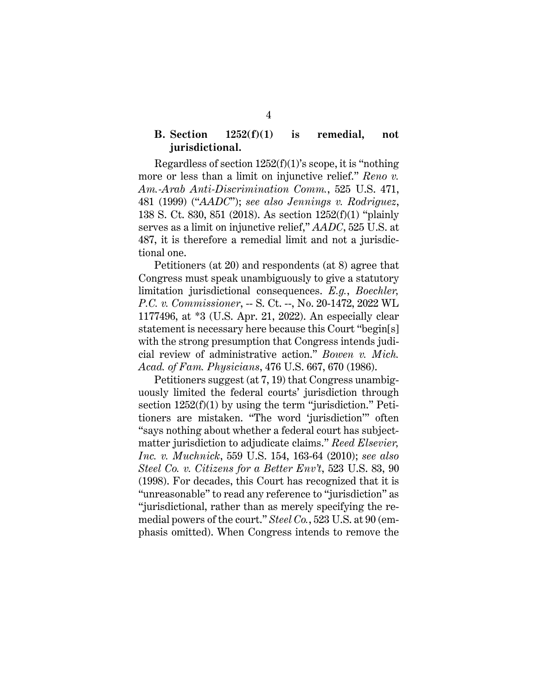## <span id="page-8-5"></span><span id="page-8-3"></span><span id="page-8-0"></span>**B. Section 1252(f)(1) is remedial, not jurisdictional.**

Regardless of section  $1252(f)(1)$ 's scope, it is "nothing" more or less than a limit on injunctive relief." *Reno v. Am.-Arab Anti-Discrimination Comm.*, 525 U.S. 471, 481 (1999) ("*AADC*"); *see also Jennings v. Rodriguez*, 138 S. Ct. 830, 851 (2018). As section 1252(f)(1) "plainly serves as a limit on injunctive relief," *AADC*, 525 U.S. at 487, it is therefore a remedial limit and not a jurisdictional one.

<span id="page-8-1"></span>Petitioners (at 20) and respondents (at 8) agree that Congress must speak unambiguously to give a statutory limitation jurisdictional consequences. *E.g.*, *Boechler, P.C. v. Commissioner*, -- S. Ct. --, No. 20-1472, 2022 WL 1177496, at \*3 (U.S. Apr. 21, 2022). An especially clear statement is necessary here because this Court "begin[s] with the strong presumption that Congress intends judicial review of administrative action." *Bowen v. Mich. Acad. of Fam. Physicians*, 476 U.S. 667, 670 (1986).

<span id="page-8-6"></span><span id="page-8-4"></span><span id="page-8-2"></span>Petitioners suggest (at 7, 19) that Congress unambiguously limited the federal courts' jurisdiction through section  $1252(f)(1)$  by using the term "jurisdiction." Petitioners are mistaken. "The word 'jurisdiction'" often "says nothing about whether a federal court has subjectmatter jurisdiction to adjudicate claims." *Reed Elsevier, Inc. v. Muchnick*, 559 U.S. 154, 163-64 (2010); *see also Steel Co. v. Citizens for a Better Env't*, 523 U.S. 83, 90 (1998). For decades, this Court has recognized that it is "unreasonable" to read any reference to "jurisdiction" as "jurisdictional, rather than as merely specifying the remedial powers of the court." *Steel Co.*, 523 U.S. at 90 (emphasis omitted). When Congress intends to remove the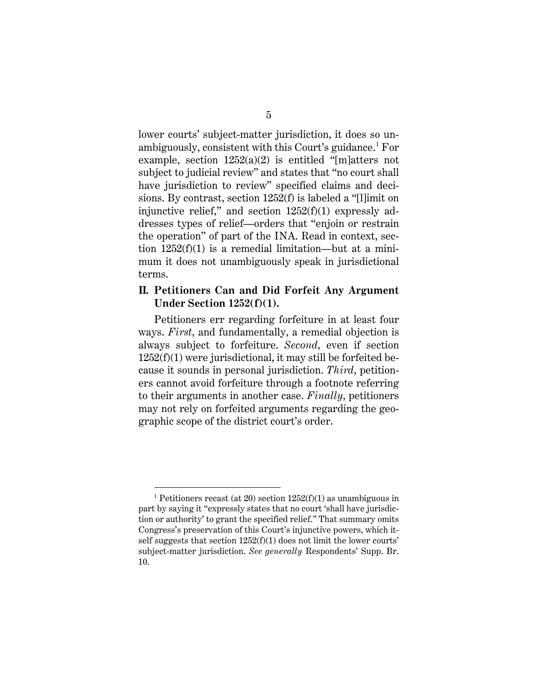<span id="page-9-2"></span><span id="page-9-1"></span>lower courts' subject-matter jurisdiction, it does so un-ambiguously, consistent with this Court's guidance.<sup>[1](#page-9-3)</sup> For example, section  $1252(a)(2)$  is entitled "[m]atters not subject to judicial review" and states that "no court shall have jurisdiction to review" specified claims and decisions. By contrast, section 1252(f) is labeled a "[l]imit on injunctive relief," and section  $1252(f)(1)$  expressly addresses types of relief—orders that "enjoin or restrain the operation" of part of the INA. Read in context, section  $1252(f)(1)$  is a remedial limitation—but at a minimum it does not unambiguously speak in jurisdictional terms.

## <span id="page-9-0"></span>**II. Petitioners Can and Did Forfeit Any Argument Under Section 1252(f)(1).**

Petitioners err regarding forfeiture in at least four ways. *First*, and fundamentally, a remedial objection is always subject to forfeiture. *Second*, even if section 1252(f)(1) were jurisdictional, it may still be forfeited because it sounds in personal jurisdiction. *Third*, petitioners cannot avoid forfeiture through a footnote referring to their arguments in another case. *Finally*, petitioners may not rely on forfeited arguments regarding the geographic scope of the district court's order.

<span id="page-9-3"></span><sup>&</sup>lt;sup>1</sup> Petitioners recast (at 20) section  $1252(f)(1)$  as unambiguous in part by saying it "expressly states that no court 'shall have jurisdiction or authority' to grant the specified relief." That summary omits Congress's preservation of this Court's injunctive powers, which itself suggests that section 1252(f)(1) does not limit the lower courts' subject-matter jurisdiction. *See generally* Respondents' Supp. Br. 10.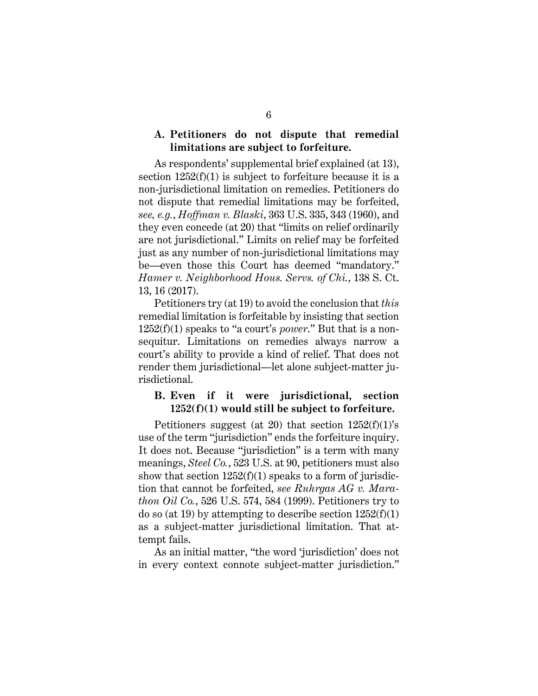## <span id="page-10-0"></span>**A. Petitioners do not dispute that remedial limitations are subject to forfeiture.**

<span id="page-10-3"></span>As respondents' supplemental brief explained (at 13), section  $1252(f)(1)$  is subject to forfeiture because it is a non-jurisdictional limitation on remedies. Petitioners do not dispute that remedial limitations may be forfeited, *see, e.g.*, *Hoffman v. Blaski*, 363 U.S. 335, 343 (1960), and they even concede (at 20) that "limits on relief ordinarily are not jurisdictional." Limits on relief may be forfeited just as any number of non-jurisdictional limitations may be—even those this Court has deemed "mandatory." *Hamer v. Neighborhood Hous. Servs. of Chi.*, 138 S. Ct. 13, 16 (2017).

<span id="page-10-2"></span>Petitioners try (at 19) to avoid the conclusion that *this*  remedial limitation is forfeitable by insisting that section 1252(f)(1) speaks to "a court's *power*." But that is a nonsequitur. Limitations on remedies always narrow a court's ability to provide a kind of relief. That does not render them jurisdictional—let alone subject-matter jurisdictional.

### <span id="page-10-4"></span><span id="page-10-1"></span>**B. Even if it were jurisdictional, section 1252(f)(1) would still be subject to forfeiture.**

Petitioners suggest (at 20) that section  $1252(f)(1)$ 's use of the term "jurisdiction" ends the forfeiture inquiry. It does not. Because "jurisdiction" is a term with many meanings, *Steel Co.*, 523 U.S. at 90, petitioners must also show that section  $1252(f)(1)$  speaks to a form of jurisdiction that cannot be forfeited, *see Ruhrgas AG v. Marathon Oil Co.*, 526 U.S. 574, 584 (1999). Petitioners try to do so (at 19) by attempting to describe section  $1252(f)(1)$ as a subject-matter jurisdictional limitation. That attempt fails.

As an initial matter, "the word 'jurisdiction' does not in every context connote subject-matter jurisdiction."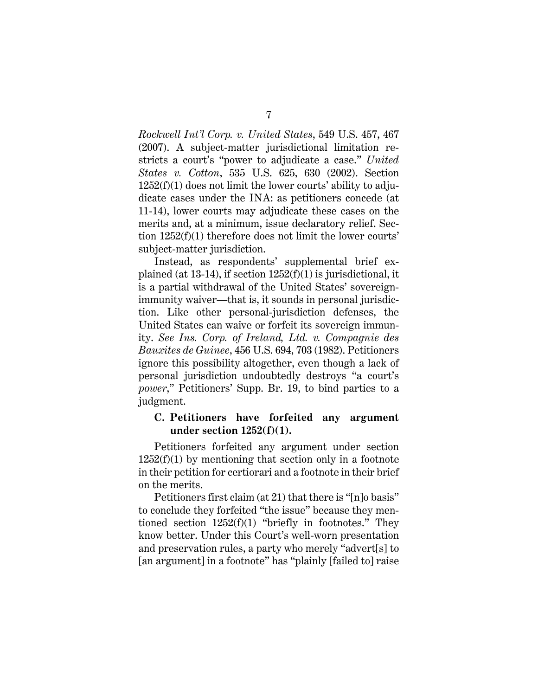<span id="page-11-3"></span><span id="page-11-2"></span>*Rockwell Int'l Corp. v. United States*, 549 U.S. 457, 467 (2007). A subject-matter jurisdictional limitation restricts a court's "power to adjudicate a case." *United States v. Cotton*, 535 U.S. 625, 630 (2002). Section  $1252(f)(1)$  does not limit the lower courts' ability to adjudicate cases under the INA: as petitioners concede (at 11-14), lower courts may adjudicate these cases on the merits and, at a minimum, issue declaratory relief. Section 1252(f)(1) therefore does not limit the lower courts' subject-matter jurisdiction.

<span id="page-11-1"></span>Instead, as respondents' supplemental brief explained (at 13-14), if section 1252(f)(1) is jurisdictional, it is a partial withdrawal of the United States' sovereignimmunity waiver—that is, it sounds in personal jurisdiction. Like other personal-jurisdiction defenses, the United States can waive or forfeit its sovereign immunity. *See Ins. Corp. of Ireland, Ltd. v. Compagnie des Bauxites de Guinee*, 456 U.S. 694, 703 (1982). Petitioners ignore this possibility altogether, even though a lack of personal jurisdiction undoubtedly destroys "a court's *power*," Petitioners' Supp. Br. 19, to bind parties to a judgment.

### <span id="page-11-0"></span>**C. Petitioners have forfeited any argument under section 1252(f)(1).**

Petitioners forfeited any argument under section  $1252(f)(1)$  by mentioning that section only in a footnote in their petition for certiorari and a footnote in their brief on the merits.

Petitioners first claim (at 21) that there is "[n]o basis" to conclude they forfeited "the issue" because they mentioned section  $1252(f)(1)$  "briefly in footnotes." They know better. Under this Court's well-worn presentation and preservation rules, a party who merely "advert[s] to [an argument] in a footnote" has "plainly [failed to] raise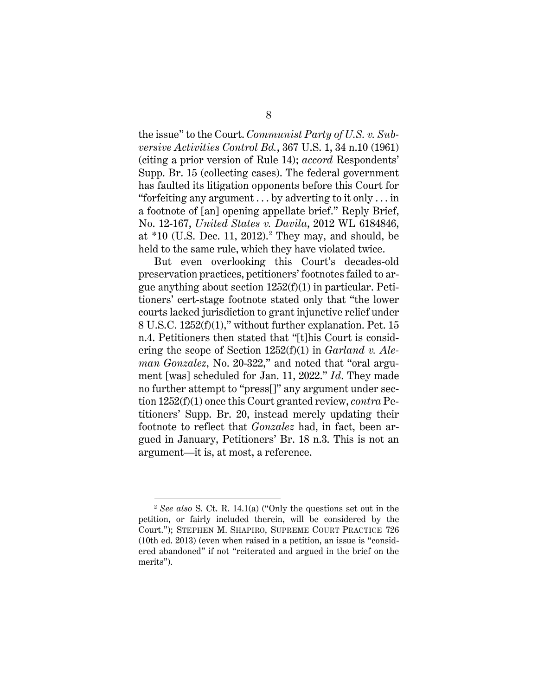<span id="page-12-2"></span><span id="page-12-0"></span>the issue" to the Court. *Communist Party of U.S. v. Subversive Activities Control Bd.*, 367 U.S. 1, 34 n.10 (1961) (citing a prior version of Rule 14); *accord* Respondents' Supp. Br. 15 (collecting cases). The federal government has faulted its litigation opponents before this Court for "forfeiting any argument  $\ldots$  by adverting to it only  $\ldots$  in a footnote of [an] opening appellate brief." Reply Brief, No. 12-167, *United States v. Davila*, 2012 WL 6184846, at  $*10$  (U.S. Dec. 11, [2](#page-12-5)012).<sup>2</sup> They may, and should, be held to the same rule, which they have violated twice.

<span id="page-12-1"></span>But even overlooking this Court's decades-old preservation practices, petitioners' footnotes failed to argue anything about section 1252(f)(1) in particular. Petitioners' cert-stage footnote stated only that "the lower courts lacked jurisdiction to grant injunctive relief under 8 U.S.C. 1252(f)(1)," without further explanation. Pet. 15 n.4. Petitioners then stated that "[t]his Court is considering the scope of Section 1252(f)(1) in *Garland v. Aleman Gonzalez*, No. 20-322," and noted that "oral argument [was] scheduled for Jan. 11, 2022." *Id*. They made no further attempt to "press[]" any argument under section 1252(f)(1) once this Court granted review, *contra* Petitioners' Supp. Br. 20, instead merely updating their footnote to reflect that *Gonzalez* had, in fact, been argued in January, Petitioners' Br. 18 n.3. This is not an argument—it is, at most, a reference.

<span id="page-12-5"></span><span id="page-12-4"></span><span id="page-12-3"></span><sup>2</sup> *See also* S. Ct. R. 14.1(a) ("Only the questions set out in the petition, or fairly included therein, will be considered by the Court."); STEPHEN M. SHAPIRO, SUPREME COURT PRACTICE 726 (10th ed. 2013) (even when raised in a petition, an issue is "considered abandoned" if not "reiterated and argued in the brief on the merits").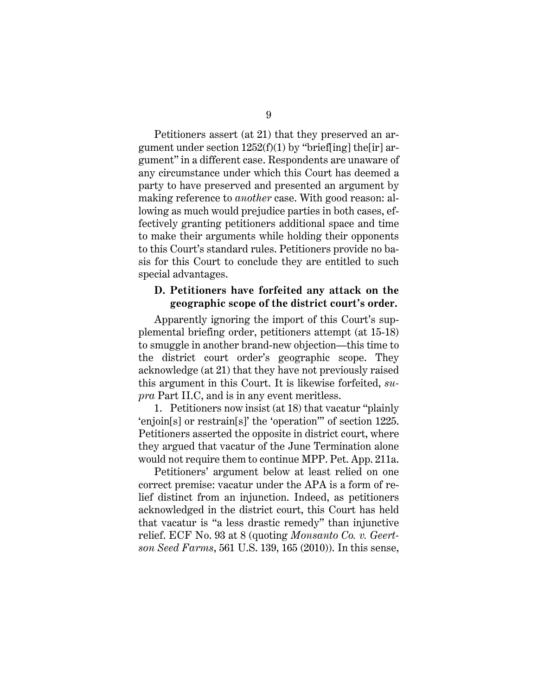Petitioners assert (at 21) that they preserved an argument under section  $1252(f)(1)$  by "brief[ing] the[ir] argument" in a different case. Respondents are unaware of any circumstance under which this Court has deemed a party to have preserved and presented an argument by making reference to *another* case. With good reason: allowing as much would prejudice parties in both cases, effectively granting petitioners additional space and time to make their arguments while holding their opponents to this Court's standard rules. Petitioners provide no basis for this Court to conclude they are entitled to such special advantages.

#### <span id="page-13-0"></span>**D. Petitioners have forfeited any attack on the geographic scope of the district court's order.**

Apparently ignoring the import of this Court's supplemental briefing order, petitioners attempt (at 15-18) to smuggle in another brand-new objection—this time to the district court order's geographic scope. They acknowledge (at 21) that they have not previously raised this argument in this Court. It is likewise forfeited, *supra* Part II.C, and is in any event meritless.

<span id="page-13-2"></span>1. Petitioners now insist (at 18) that vacatur "plainly 'enjoin[s] or restrain[s]' the 'operation'" of section 1225. Petitioners asserted the opposite in district court, where they argued that vacatur of the June Termination alone would not require them to continue MPP. Pet. App. 211a.

<span id="page-13-1"></span>Petitioners' argument below at least relied on one correct premise: vacatur under the APA is a form of relief distinct from an injunction. Indeed, as petitioners acknowledged in the district court, this Court has held that vacatur is "a less drastic remedy" than injunctive relief. ECF No. 93 at 8 (quoting *Monsanto Co. v. Geertson Seed Farms*, 561 U.S. 139, 165 (2010)). In this sense,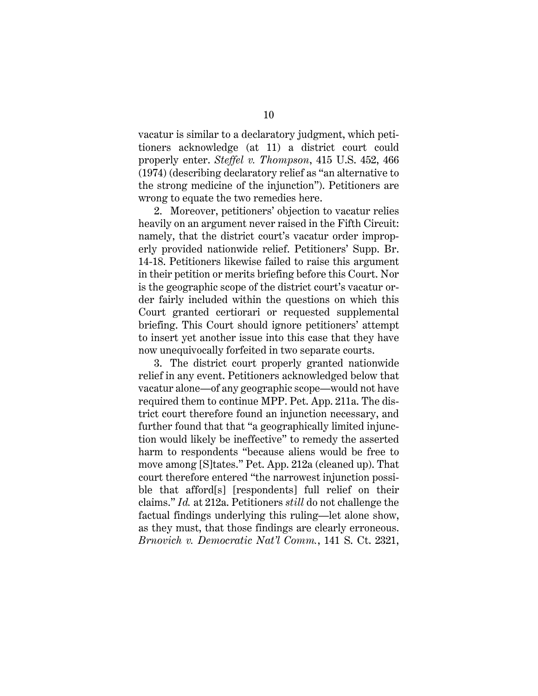<span id="page-14-1"></span>vacatur is similar to a declaratory judgment, which petitioners acknowledge (at 11) a district court could properly enter. *Steffel v. Thompson*, 415 U.S. 452, 466 (1974) (describing declaratory relief as "an alternative to the strong medicine of the injunction"). Petitioners are wrong to equate the two remedies here.

2. Moreover, petitioners' objection to vacatur relies heavily on an argument never raised in the Fifth Circuit: namely, that the district court's vacatur order improperly provided nationwide relief. Petitioners' Supp. Br. 14-18. Petitioners likewise failed to raise this argument in their petition or merits briefing before this Court. Nor is the geographic scope of the district court's vacatur order fairly included within the questions on which this Court granted certiorari or requested supplemental briefing. This Court should ignore petitioners' attempt to insert yet another issue into this case that they have now unequivocally forfeited in two separate courts.

<span id="page-14-0"></span>3. The district court properly granted nationwide relief in any event. Petitioners acknowledged below that vacatur alone—of any geographic scope—would not have required them to continue MPP. Pet. App. 211a. The district court therefore found an injunction necessary, and further found that that "a geographically limited injunction would likely be ineffective" to remedy the asserted harm to respondents "because aliens would be free to move among [S]tates." Pet. App. 212a (cleaned up). That court therefore entered "the narrowest injunction possible that afford[s] [respondents] full relief on their claims." *Id.* at 212a. Petitioners *still* do not challenge the factual findings underlying this ruling—let alone show, as they must, that those findings are clearly erroneous. *Brnovich v. Democratic Nat'l Comm.*, 141 S. Ct. 2321,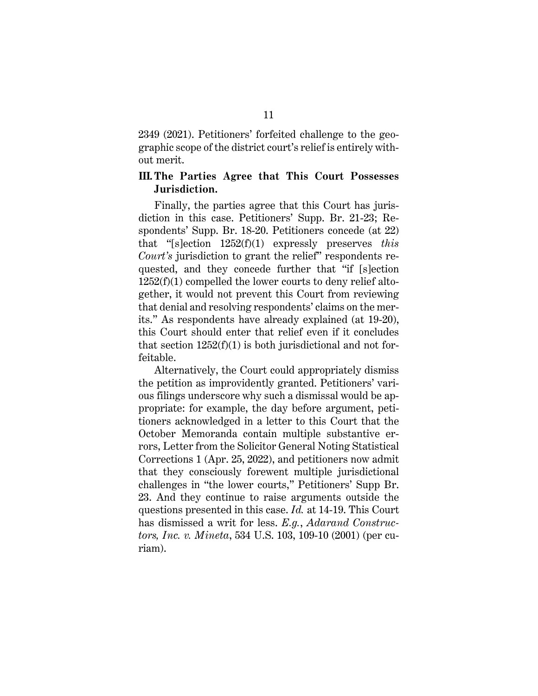2349 (2021). Petitioners' forfeited challenge to the geographic scope of the district court's relief is entirely without merit.

### <span id="page-15-0"></span>**III. The Parties Agree that This Court Possesses Jurisdiction.**

Finally, the parties agree that this Court has jurisdiction in this case. Petitioners' Supp. Br. 21-23; Respondents' Supp. Br. 18-20. Petitioners concede (at 22) that "[s]ection 1252(f)(1) expressly preserves *this Court's* jurisdiction to grant the relief" respondents requested, and they concede further that "if [s]ection 1252(f)(1) compelled the lower courts to deny relief altogether, it would not prevent this Court from reviewing that denial and resolving respondents' claims on the merits." As respondents have already explained (at 19-20), this Court should enter that relief even if it concludes that section  $1252(f)(1)$  is both jurisdictional and not forfeitable.

<span id="page-15-2"></span><span id="page-15-1"></span>Alternatively, the Court could appropriately dismiss the petition as improvidently granted. Petitioners' various filings underscore why such a dismissal would be appropriate: for example, the day before argument, petitioners acknowledged in a letter to this Court that the October Memoranda contain multiple substantive errors, Letter from the Solicitor General Noting Statistical Corrections 1 (Apr. 25, 2022), and petitioners now admit that they consciously forewent multiple jurisdictional challenges in "the lower courts," Petitioners' Supp Br. 23. And they continue to raise arguments outside the questions presented in this case. *Id.* at 14-19. This Court has dismissed a writ for less. *E.g.*, *Adarand Constructors, Inc. v. Mineta*, 534 U.S. 103, 109-10 (2001) (per curiam).